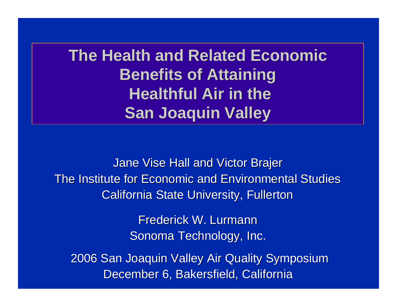**The Health and Related Economic Benefits of Attaining Healthful Air in the San Joaquin Valley**

Jane Vise Hall and Victor Brajer The Institute for Economic and Environmental Studies California State University, Fullerton

> Frederick W. Lurmann Sonoma Technology, Inc.

2006 San Joaquin Valley Air Quality Symposium December 6, Bakersfield, California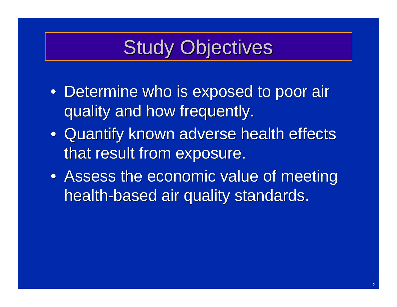# Study Objectives

- Determine who is exposed to poor air quality and how frequently.
- Quantify known adverse health effects that result from exposure.
- Assess the economic value of meeting health-based air quality standards.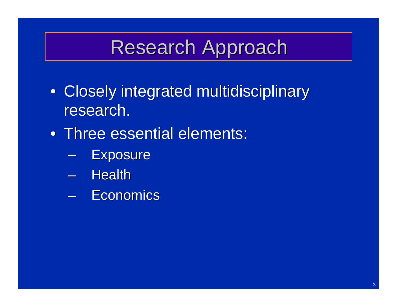## Research Approach

- Closely integrated multidisciplinary research.
- Three essential elements:
	- **Exposure**
	- Health
	- Economics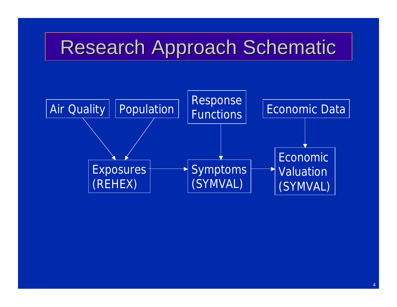## Research Approach Schematic

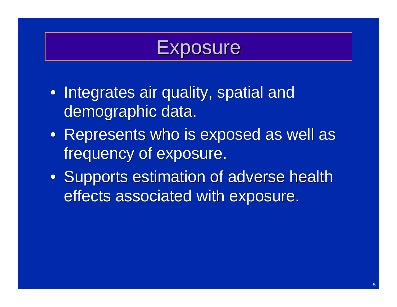## **Exposure**

- Integrates air quality, spatial and demographic data.
- Represents who is exposed as well as frequency of exposure.
- Supports estimation of adverse health effects associated with exposure.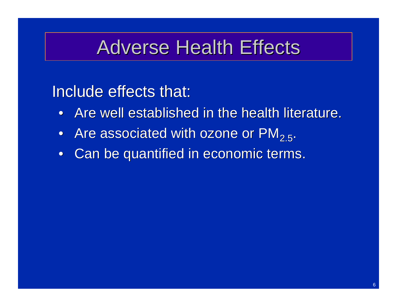## Adverse Health Effects

#### Include effects that:

- Are well established in the health literature.
- Are associated with ozone or  $PM_{2.5}$ .
- Can be quantified in economic terms.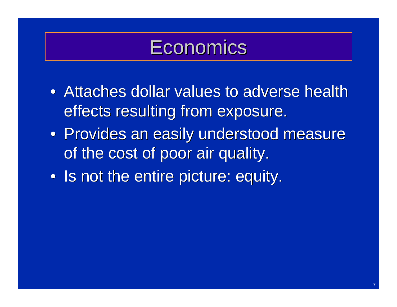## **Economics**

- Attaches dollar values to adverse health effects resulting from exposure.
- Provides an easily understood measure of the cost of poor air quality.
- Is not the entire picture: equity.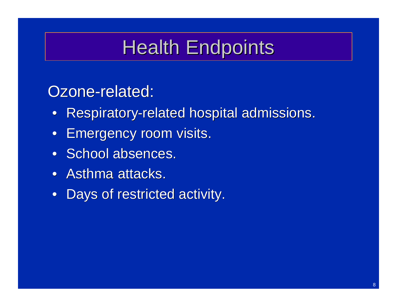# Health Endpoints

### Ozone-related:

- Respiratory-related hospital admissions.
- Emergency room visits.
- School absences.
- Asthma attacks.
- Days of restricted activity.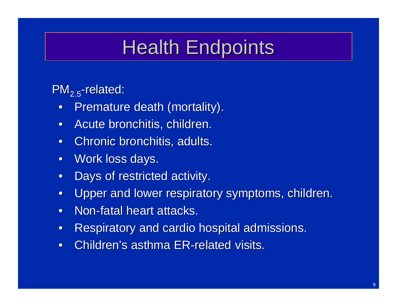## Health Endpoints

 $PM_{2.5}$ -related:

- Premature death (mortality).
- Acute bronchitis, children.
- Chronic bronchitis, adults.
- Work loss days.
- Days of restricted activity.
- Upper and lower respiratory symptoms, children.
- Non-fatal heart attacks.
- Respiratory and cardio hospital admissions.
- Children's asthma ER-related visits.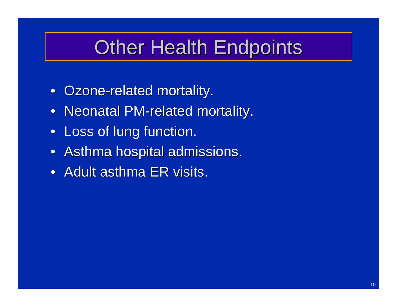## Other Health Endpoints

- Ozone-related mortality.
- Neonatal PM-related mortality.
- Loss of lung function.
- Asthma hospital admissions.
- Adult asthma ER visits.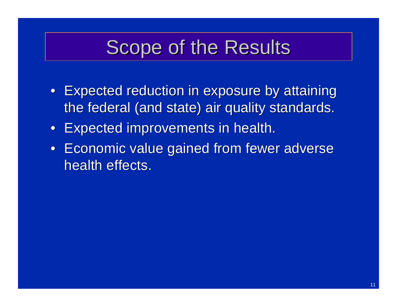## Scope of the Results

- Expected reduction in exposure by attaining the federal (and state) air quality standards.
- Expected improvements in health.
- Economic value gained from fewer adverse health effects.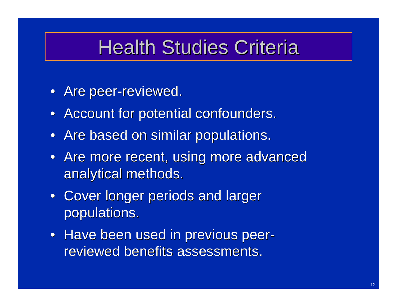## Health Studies Criteria

- Are peer-reviewed.
- Account for potential confounders.
- Are based on similar populations.
- Are more recent, using more advanced analytical methods.
- Cover longer periods and larger populations.
- Have been used in previous peerreviewed benefits assessments.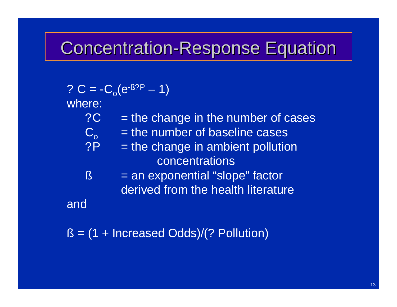### Concentration-Response Equation

?  $C = -C_0(e^{-0.87P} - 1)$ 

where:

- $?C =$  the change in the number of cases
- $C_o$  = the number of baseline cases<br>  $\overline{CP}$  = the change in ambient pollutic
	- $=$  the change in ambient pollution concentrations
- $\beta$  = an exponential "slope" factor derived from the health literature

and

 $B = (1 + \text{Increasing Odds})/(?$  Pollution)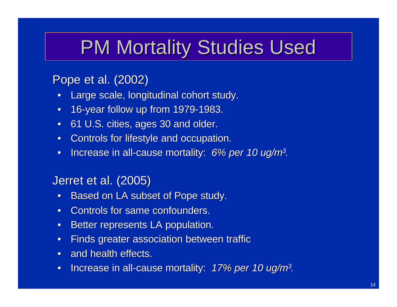## PM Mortality Studies Used

#### Pope et al. (2002)

- Large scale, longitudinal cohort study.
- 16-year follow up from 1979-1983.
- 61 U.S. cities, ages 30 and older.
- Controls for lifestyle and occupation.
- Increase in all-cause mortality: *6% per 10 ug/m<sup>3</sup> .*

#### Jerret et al. (2005)

- Based on LA subset of Pope study.
- Controls for same confounders.
- Better represents LA population.
- Finds greater association between traffic
- and health effects.
- Increase in all-cause mortality: *17% per 10 ug/m<sup>3</sup> .*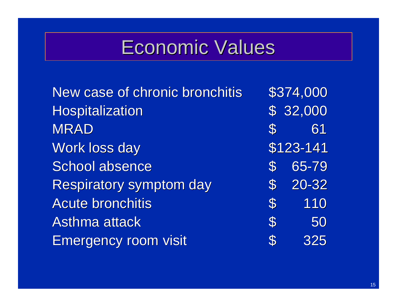# Economic Values

| New case of chronic bronchitis |                            | \$374,000 |
|--------------------------------|----------------------------|-----------|
| <b>Hospitalization</b>         |                            | \$32,000  |
| <b>MRAD</b>                    | $\mathcal{S}$              | 61        |
| <b>Work loss day</b>           |                            | \$123-141 |
| School absence                 | $\mathbf{S}$               | 65-79     |
| <b>Respiratory symptom day</b> | $\mathcal{S}$              | 20-32     |
| <b>Acute bronchitis</b>        | $\mathbb{S}^-$             | 110       |
| <b>Asthma attack</b>           | $\boldsymbol{\mathcal{S}}$ | 50        |
| <b>Emergency room visit</b>    | $\mathbf{S}$               | 325       |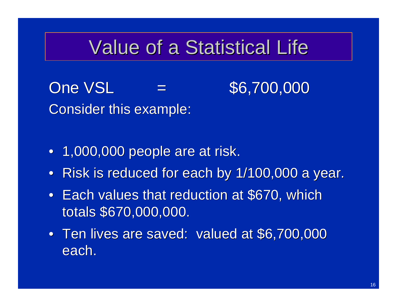## Value of a Statistical Life

 $One VSL = $6,700,000$ Consider this example:

- 1,000,000 people are at risk.
- Risk is reduced for each by 1/100,000 a year.
- Each values that reduction at \$670, which totals \$670,000,000.
- Ten lives are saved: valued at \$6,700,000 each.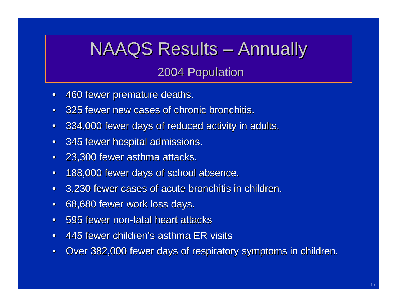## NAAQS Results – Annually

2004 Population

- 460 fewer premature deaths.
- 325 fewer new cases of chronic bronchitis.
- 334,000 fewer days of reduced activity in adults.
- 345 fewer hospital admissions.
- 23,300 fewer asthma attacks.
- 188,000 fewer days of school absence.
- 3,230 fewer cases of acute bronchitis in children.
- 68,680 fewer work loss days.
- 595 fewer non-fatal heart attacks
- 445 fewer children's asthma ER visits
- Over 382,000 fewer days of respiratory symptoms in children.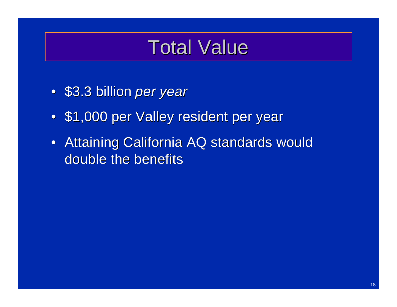## Total Value

- \$3.3 billion *per year*
- \$1,000 per Valley resident per year
- Attaining California AQ standards would double the benefits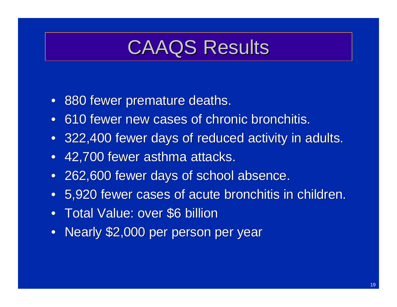## CAAQS Results

- 880 fewer premature deaths.
- 610 fewer new cases of chronic bronchitis.
- 322,400 fewer days of reduced activity in adults.
- 42,700 fewer asthma attacks.
- 262,600 fewer days of school absence.
- 5,920 fewer cases of acute bronchitis in children.
- Total Value: over \$6 billion
- Nearly \$2,000 per person per year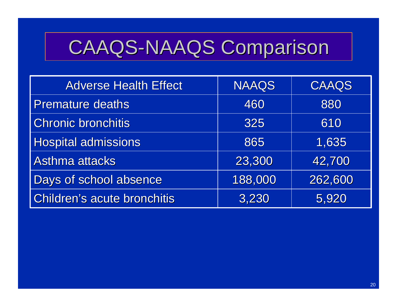# CAAQS-NAAQS Comparison

| <b>Adverse Health Effect</b>       | <b>NAAQS</b> | CAAQS   |
|------------------------------------|--------------|---------|
| <b>Premature deaths</b>            | 460          | 880     |
| <b>Chronic bronchitis</b>          | 325          | 610     |
| <b>Hospital admissions</b>         | 865          | 1,635   |
| <b>Asthma attacks</b>              | 23,300       | 42,700  |
| Days of school absence             | 188,000      | 262,600 |
| <b>Children's acute bronchitis</b> | 3,230        | 5,920   |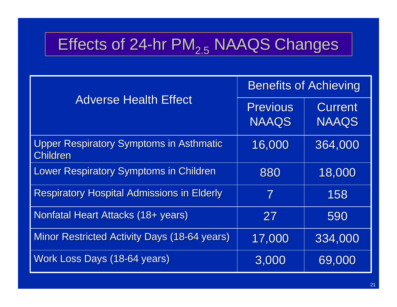## Effects of  $24$ -hr PM $_{2.5}$  NAAQS Changes

|                                                                   | <b>Benefits of Achieving</b>    |                                |  |
|-------------------------------------------------------------------|---------------------------------|--------------------------------|--|
| <b>Adverse Health Effect</b>                                      | <b>Previous</b><br><b>NAAQS</b> | <b>Current</b><br><b>NAAQS</b> |  |
|                                                                   |                                 |                                |  |
| <b>Upper Respiratory Symptoms in Asthmatic</b><br><b>Children</b> | 16,000                          | 364,000                        |  |
| <b>Lower Respiratory Symptoms in Children</b>                     | 880                             | 18,000                         |  |
| <b>Respiratory Hospital Admissions in Elderly</b>                 | 7                               | 158                            |  |
| Nonfatal Heart Attacks (18+ years)                                | 27                              | 590                            |  |
| <b>Minor Restricted Activity Days (18-64 years)</b>               | 17,000                          | 334,000                        |  |
| Work Loss Days (18-64 years)                                      | 3,000                           | 69,000                         |  |